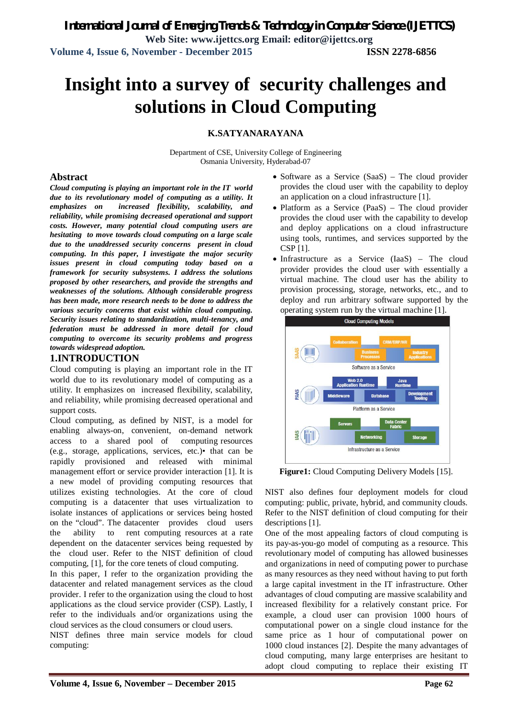# **Insight into a survey of security challenges and solutions in Cloud Computing**

### **K.SATYANARAYANA**

Department of CSE, University College of Engineering Osmania University, Hyderabad-07

### **Abstract**

*Cloud computing is playing an important role in the IT world due to its revolutionary model of computing as a utility. It emphasizes on increased flexibility, scalability, and reliability, while promising decreased operational and support costs. However, many potential cloud computing users are hesitating to move towards cloud computing on a large scale due to the unaddressed security concerns present in cloud computing. In this paper, I investigate the major security issues present in cloud computing today based on a framework for security subsystems. I address the solutions proposed by other researchers, and provide the strengths and weaknesses of the solutions. Although considerable progress has been made, more research needs to be done to address the various security concerns that exist within cloud computing. Security issues relating to standardization, multi-tenancy, and federation must be addressed in more detail for cloud computing to overcome its security problems and progress towards widespread adoption.*

### **1.INTRODUCTION**

Cloud computing is playing an important role in the IT world due to its revolutionary model of computing as a utility. It emphasizes on increased flexibility, scalability, and reliability, while promising decreased operational and support costs.

Cloud computing, as defined by NIST, is a model for enabling always-on, convenient, on-demand network access to a shared pool of computing resources (e.g., storage, applications, services, etc.)• that can be rapidly provisioned and released with minimal management effort or service provider interaction [1]. It is a new model of providing computing resources that utilizes existing technologies. At the core of cloud computing is a datacenter that uses virtualization to isolate instances of applications or services being hosted on the "cloud". The datacenter provides cloud users the ability to rent computing resources at a rate dependent on the datacenter services being requested by the cloud user. Refer to the NIST definition of cloud computing, [1], for the core tenets of cloud computing.

In this paper, I refer to the organization providing the datacenter and related management services as the cloud provider. I refer to the organization using the cloud to host applications as the cloud service provider (CSP). Lastly, I refer to the individuals and/or organizations using the cloud services as the cloud consumers or cloud users.

NIST defines three main service models for cloud computing:

- Software as a Service (SaaS) The cloud provider provides the cloud user with the capability to deploy an application on a cloud infrastructure [1].
- Platform as a Service (PaaS) The cloud provider provides the cloud user with the capability to develop and deploy applications on a cloud infrastructure using tools, runtimes, and services supported by the CSP [1].
- Infrastructure as a Service (IaaS) The cloud provider provides the cloud user with essentially a virtual machine. The cloud user has the ability to provision processing, storage, networks, etc., and to deploy and run arbitrary software supported by the operating system run by the virtual machine [1].



**Figure1:** Cloud Computing Delivery Models [15].

NIST also defines four deployment models for cloud computing: public, private, hybrid, and community clouds. Refer to the NIST definition of cloud computing for their descriptions [1].

One of the most appealing factors of cloud computing is its pay-as-you-go model of computing as a resource. This revolutionary model of computing has allowed businesses and organizations in need of computing power to purchase as many resources as they need without having to put forth a large capital investment in the IT infrastructure. Other advantages of cloud computing are massive scalability and increased flexibility for a relatively constant price. For example, a cloud user can provision 1000 hours of computational power on a single cloud instance for the same price as 1 hour of computational power on 1000 cloud instances [2]. Despite the many advantages of cloud computing, many large enterprises are hesitant to adopt cloud computing to replace their existing IT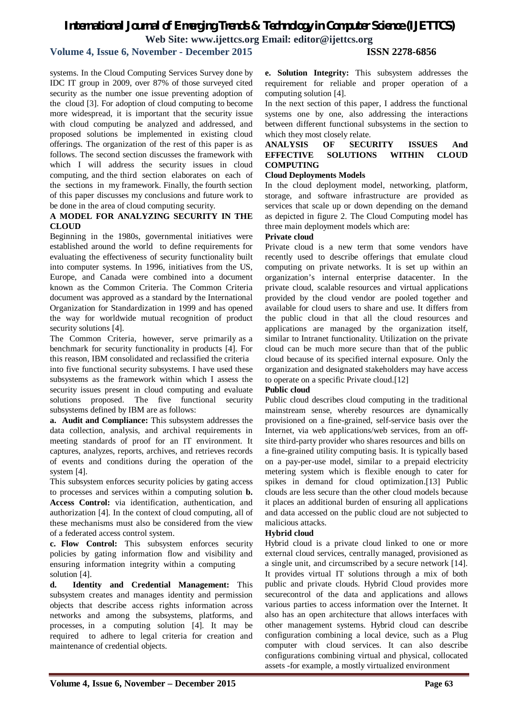### **Volume 4, Issue 6, November - December 2015 ISSN 2278-6856**

systems. In the Cloud Computing Services Survey done by IDC IT group in 2009, over 87% of those surveyed cited security as the number one issue preventing adoption of the cloud [3]. For adoption of cloud computing to become more widespread, it is important that the security issue with cloud computing be analyzed and addressed, and proposed solutions be implemented in existing cloud offerings. The organization of the rest of this paper is as follows. The second section discusses the framework with which I will address the security issues in cloud computing, and the third section elaborates on each of the sections in my framework. Finally, the fourth section of this paper discusses my conclusions and future work to be done in the area of cloud computing security.

#### **A MODEL FOR ANALYZING SECURITY IN THE CLOUD**

Beginning in the 1980s, governmental initiatives were established around the world to define requirements for evaluating the effectiveness of security functionality built into computer systems. In 1996, initiatives from the US, Europe, and Canada were combined into a document known as the Common Criteria. The Common Criteria document was approved as a standard by the International Organization for Standardization in 1999 and has opened the way for worldwide mutual recognition of product security solutions [4].

The Common Criteria, however, serve primarily as a benchmark for security functionality in products [4]. For this reason, IBM consolidated and reclassified the criteria into five functional security subsystems. I have used these subsystems as the framework within which I assess the security issues present in cloud computing and evaluate solutions proposed. The five functional security subsystems defined by IBM are as follows:

**a. Audit and Compliance:** This subsystem addresses the data collection, analysis, and archival requirements in meeting standards of proof for an IT environment. It captures, analyzes, reports, archives, and retrieves records of events and conditions during the operation of the system [4].

This subsystem enforces security policies by gating access to processes and services within a computing solution **b. Access Control:** via identification, authentication, and authorization [4]. In the context of cloud computing, all of these mechanisms must also be considered from the view of a federated access control system.

**c. Flow Control:** This subsystem enforces security policies by gating information flow and visibility and ensuring information integrity within a computing solution [4].

**d. Identity and Credential Management:** This subsystem creates and manages identity and permission objects that describe access rights information across networks and among the subsystems, platforms, and processes, in a computing solution [4]. It may be required to adhere to legal criteria for creation and maintenance of credential objects.

**e. Solution Integrity:** This subsystem addresses the requirement for reliable and proper operation of a computing solution [4].

In the next section of this paper, I address the functional systems one by one, also addressing the interactions between different functional subsystems in the section to which they most closely relate.

#### **ANALYSIS OF SECURITY ISSUES And EFFECTIVE SOLUTIONS WITHIN CLOUD COMPUTING**

#### **Cloud Deployments Models**

In the cloud deployment model, networking, platform, storage, and software infrastructure are provided as services that scale up or down depending on the demand as depicted in figure 2. The Cloud Computing model has three main deployment models which are:

#### **Private cloud**

Private cloud is a new term that some vendors have recently used to describe offerings that emulate cloud computing on private networks. It is set up within an organization's internal enterprise datacenter. In the private cloud, scalable resources and virtual applications provided by the cloud vendor are pooled together and available for cloud users to share and use. It differs from the public cloud in that all the cloud resources and applications are managed by the organization itself, similar to Intranet functionality. Utilization on the private cloud can be much more secure than that of the public cloud because of its specified internal exposure. Only the organization and designated stakeholders may have access to operate on a specific Private cloud.[12]

#### **Public cloud**

Public cloud describes cloud computing in the traditional mainstream sense, whereby resources are dynamically provisioned on a fine-grained, self-service basis over the Internet, via web applications/web services, from an offsite third-party provider who shares resources and bills on a fine-grained utility computing basis. It is typically based on a pay-per-use model, similar to a prepaid electricity metering system which is flexible enough to cater for spikes in demand for cloud optimization.[13] Public clouds are less secure than the other cloud models because it places an additional burden of ensuring all applications and data accessed on the public cloud are not subjected to malicious attacks.

#### **Hybrid cloud**

Hybrid cloud is a private cloud linked to one or more external cloud services, centrally managed, provisioned as a single unit, and circumscribed by a secure network [14]. It provides virtual IT solutions through a mix of both public and private clouds. Hybrid Cloud provides more securecontrol of the data and applications and allows various parties to access information over the Internet. It also has an open architecture that allows interfaces with other management systems. Hybrid cloud can describe configuration combining a local device, such as a Plug computer with cloud services. It can also describe configurations combining virtual and physical, collocated assets -for example, a mostly virtualized environment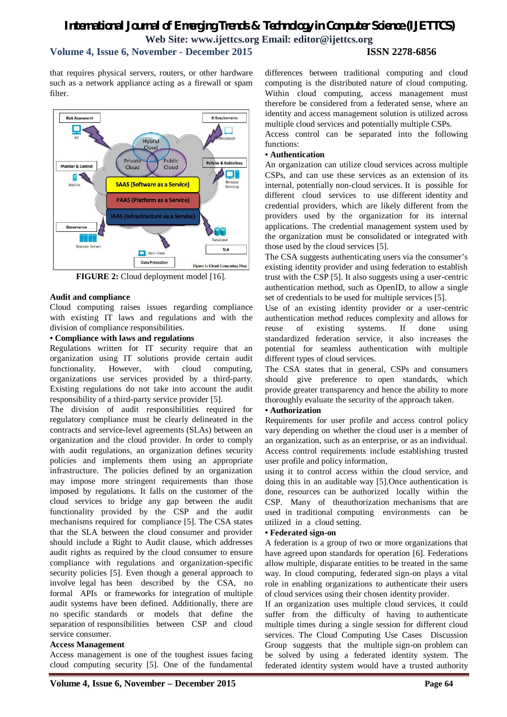# *International Journal of Emerging Trends & Technology in Computer Science (IJETTCS)* **Web Site: www.ijettcs.org Email: editor@ijettcs.org Volume 4, Issue 6, November - December 2015 ISSN 2278-6856**

that requires physical servers, routers, or other hardware such as a network appliance acting as a firewall or spam filter.



**FIGURE 2:** Cloud deployment model [16].

#### **Audit and compliance**

Cloud computing raises issues regarding compliance with existing IT laws and regulations and with the division of compliance responsibilities.

#### **• Compliance with laws and regulations**

Regulations written for IT security require that an organization using IT solutions provide certain audit functionality. However, with cloud computing, organizations use services provided by a third-party. Existing regulations do not take into account the audit responsibility of a third-party service provider [5].

The division of audit responsibilities required for regulatory compliance must be clearly delineated in the contracts and service-level agreements (SLAs) between an organization and the cloud provider. In order to comply with audit regulations, an organization defines security policies and implements them using an appropriate infrastructure. The policies defined by an organization may impose more stringent requirements than those imposed by regulations. It falls on the customer of the cloud services to bridge any gap between the audit functionality provided by the CSP and the audit mechanisms required for compliance [5]. The CSA states that the SLA between the cloud consumer and provider should include a Right to Audit clause, which addresses audit rights as required by the cloud consumer to ensure compliance with regulations and organization-specific security policies [5]. Even though a general approach to involve legal has been described by the CSA, no formal APIs or frameworks for integration of multiple audit systems have been defined. Additionally, there are no specific standards or models that define the separation of responsibilities between CSP and cloud service consumer.

### **Access Management**

Access management is one of the toughest issues facing cloud computing security [5]. One of the fundamental

differences between traditional computing and cloud computing is the distributed nature of cloud computing. Within cloud computing, access management must therefore be considered from a federated sense, where an identity and access management solution is utilized across multiple cloud services and potentially multiple CSPs.

Access control can be separated into the following functions:

#### **• Authentication**

An organization can utilize cloud services across multiple CSPs, and can use these services as an extension of its internal, potentially non-cloud services. It is possible for different cloud services to use different identity and credential providers, which are likely different from the providers used by the organization for its internal applications. The credential management system used by the organization must be consolidated or integrated with those used by the cloud services [5].

The CSA suggests authenticating users via the consumer's existing identity provider and using federation to establish trust with the CSP [5]. It also suggests using a user-centric authentication method, such as OpenID, to allow a single set of credentials to be used for multiple services [5].

Use of an existing identity provider or a user-centric authentication method reduces complexity and allows for reuse of existing systems. If done using standardized federation service, it also increases the potential for seamless authentication with multiple different types of cloud services.

The CSA states that in general, CSPs and consumers should give preference to open standards, which provide greater transparency and hence the ability to more thoroughly evaluate the security of the approach taken.

### **• Authorization**

Requirements for user profile and access control policy vary depending on whether the cloud user is a member of an organization, such as an enterprise, or as an individual. Access control requirements include establishing trusted user profile and policy information,

using it to control access within the cloud service, and doing this in an auditable way [5].Once authentication is done, resources can be authorized locally within the CSP. Many of theauthorization mechanisms that are used in traditional computing environments can be utilized in a cloud setting.

### **• Federated sign-on**

A federation is a group of two or more organizations that have agreed upon standards for operation [6]. Federations allow multiple, disparate entities to be treated in the same way. In cloud computing, federated sign-on plays a vital role in enabling organizations to authenticate their users of cloud services using their chosen identity provider.

If an organization uses multiple cloud services, it could suffer from the difficulty of having to authenticate multiple times during a single session for different cloud services. The Cloud Computing Use Cases Discussion Group suggests that the multiple sign-on problem can be solved by using a federated identity system. The federated identity system would have a trusted authority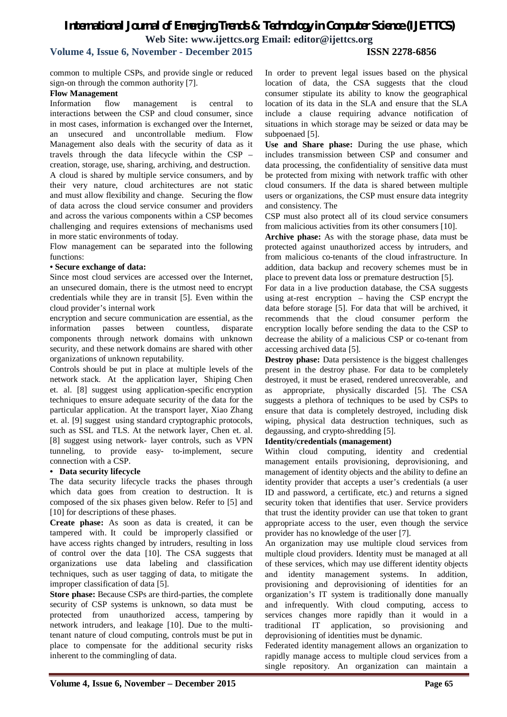# **Volume 4, Issue 6, November - December 2015 ISSN 2278-6856**

common to multiple CSPs, and provide single or reduced sign-on through the common authority [7].

#### **Flow Management**

Information flow management is central to interactions between the CSP and cloud consumer, since in most cases, information is exchanged over the Internet, an unsecured and uncontrollable medium. Flow Management also deals with the security of data as it travels through the data lifecycle within the CSP – creation, storage, use, sharing, archiving, and destruction. A cloud is shared by multiple service consumers, and by their very nature, cloud architectures are not static and must allow flexibility and change. Securing the flow of data across the cloud service consumer and providers and across the various components within a CSP becomes challenging and requires extensions of mechanisms used in more static environments of today.

Flow management can be separated into the following functions:

#### **• Secure exchange of data:**

Since most cloud services are accessed over the Internet, an unsecured domain, there is the utmost need to encrypt credentials while they are in transit [5]. Even within the cloud provider's internal work

encryption and secure communication are essential, as the information passes between countless, disparate components through network domains with unknown security, and these network domains are shared with other organizations of unknown reputability.

Controls should be put in place at multiple levels of the network stack. At the application layer, Shiping Chen et. al. [8] suggest using application-specific encryption techniques to ensure adequate security of the data for the particular application. At the transport layer, Xiao Zhang et. al. [9] suggest using standard cryptographic protocols, such as SSL and TLS. At the network layer, Chen et. al. [8] suggest using network- layer controls, such as VPN tunneling, to provide easy- to-implement, secure connection with a CSP.

#### **• Data security lifecycle**

The data security lifecycle tracks the phases through which data goes from creation to destruction. It is composed of the six phases given below. Refer to [5] and [10] for descriptions of these phases.

**Create phase:** As soon as data is created, it can be tampered with. It could be improperly classified or have access rights changed by intruders, resulting in loss of control over the data [10]. The CSA suggests that organizations use data labeling and classification techniques, such as user tagging of data, to mitigate the improper classification of data [5].

**Store phase:** Because CSPs are third-parties, the complete security of CSP systems is unknown, so data must be protected from unauthorized access, tampering by network intruders, and leakage [10]. Due to the multitenant nature of cloud computing, controls must be put in place to compensate for the additional security risks inherent to the commingling of data.

In order to prevent legal issues based on the physical location of data, the CSA suggests that the cloud consumer stipulate its ability to know the geographical location of its data in the SLA and ensure that the SLA include a clause requiring advance notification of situations in which storage may be seized or data may be subpoenaed [5].

**Use and Share phase:** During the use phase, which includes transmission between CSP and consumer and data processing, the confidentiality of sensitive data must be protected from mixing with network traffic with other cloud consumers. If the data is shared between multiple users or organizations, the CSP must ensure data integrity and consistency. The

CSP must also protect all of its cloud service consumers from malicious activities from its other consumers [10].

**Archive phase:** As with the storage phase, data must be protected against unauthorized access by intruders, and from malicious co-tenants of the cloud infrastructure. In addition, data backup and recovery schemes must be in place to prevent data loss or premature destruction [5].

For data in a live production database, the CSA suggests using at-rest encryption – having the CSP encrypt the data before storage [5]. For data that will be archived, it recommends that the cloud consumer perform the encryption locally before sending the data to the CSP to decrease the ability of a malicious CSP or co-tenant from accessing archived data [5].

**Destroy phase:** Data persistence is the biggest challenges present in the destroy phase. For data to be completely destroyed, it must be erased, rendered unrecoverable, and as appropriate, physically discarded [5]. The CSA suggests a plethora of techniques to be used by CSPs to ensure that data is completely destroyed, including disk wiping, physical data destruction techniques, such as degaussing, and crypto-shredding [5].

#### **Identity/credentials (management)**

Within cloud computing, identity and credential management entails provisioning, deprovisioning, and management of identity objects and the ability to define an identity provider that accepts a user's credentials (a user ID and password, a certificate, etc.) and returns a signed security token that identifies that user. Service providers that trust the identity provider can use that token to grant appropriate access to the user, even though the service provider has no knowledge of the user [7].

An organization may use multiple cloud services from multiple cloud providers. Identity must be managed at all of these services, which may use different identity objects and identity management systems. In addition, provisioning and deprovisioning of identities for an organization's IT system is traditionally done manually and infrequently. With cloud computing, access to services changes more rapidly than it would in a traditional IT application, so provisioning and deprovisioning of identities must be dynamic.

Federated identity management allows an organization to rapidly manage access to multiple cloud services from a single repository. An organization can maintain a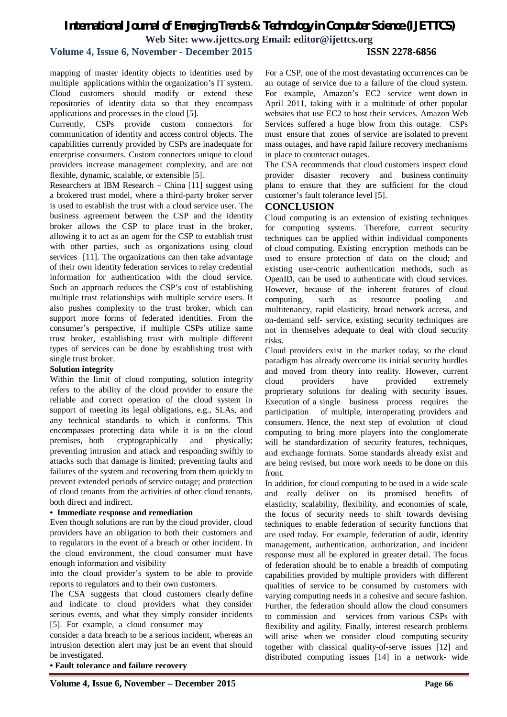# **Volume 4, Issue 6, November - December 2015 ISSN 2278-6856**

mapping of master identity objects to identities used by multiple applications within the organization's IT system. Cloud customers should modify or extend these repositories of identity data so that they encompass applications and processes in the cloud [5].

Currently, CSPs provide custom connectors for communication of identity and access control objects. The capabilities currently provided by CSPs are inadequate for enterprise consumers. Custom connectors unique to cloud providers increase management complexity, and are not flexible, dynamic, scalable, or extensible [5].

Researchers at IBM Research – China [11] suggest using a brokered trust model, where a third-party broker server is used to establish the trust with a cloud service user. The business agreement between the CSP and the identity broker allows the CSP to place trust in the broker, allowing it to act as an agent for the CSP to establish trust with other parties, such as organizations using cloud services [11]. The organizations can then take advantage of their own identity federation services to relay credential information for authentication with the cloud service. Such an approach reduces the CSP's cost of establishing multiple trust relationships with multiple service users. It also pushes complexity to the trust broker, which can support more forms of federated identities. From the consumer's perspective, if multiple CSPs utilize same trust broker, establishing trust with multiple different types of services can be done by establishing trust with single trust broker.

#### **Solution integrity**

Within the limit of cloud computing, solution integrity refers to the ability of the cloud provider to ensure the reliable and correct operation of the cloud system in support of meeting its legal obligations, e.g., SLAs, and any technical standards to which it conforms. This encompasses protecting data while it is on the cloud premises, both cryptographically and physically; preventing intrusion and attack and responding swiftly to attacks such that damage is limited; preventing faults and failures of the system and recovering from them quickly to prevent extended periods of service outage; and protection of cloud tenants from the activities of other cloud tenants, both direct and indirect.

### **• Immediate response and remediation**

Even though solutions are run by the cloud provider, cloud providers have an obligation to both their customers and to regulators in the event of a breach or other incident. In the cloud environment, the cloud consumer must have enough information and visibility

into the cloud provider's system to be able to provide reports to regulators and to their own customers.

The CSA suggests that cloud customers clearly define and indicate to cloud providers what they consider serious events, and what they simply consider incidents [5]. For example, a cloud consumer may

consider a data breach to be a serious incident, whereas an intrusion detection alert may just be an event that should be investigated.

**• Fault tolerance and failure recovery**

For a CSP, one of the most devastating occurrences can be an outage of service due to a failure of the cloud system. For example, Amazon's EC2 service went down in April 2011, taking with it a multitude of other popular websites that use EC2 to host their services. Amazon Web Services suffered a huge blow from this outage. CSPs must ensure that zones of service are isolated to prevent mass outages, and have rapid failure recovery mechanisms in place to counteract outages.

The CSA recommends that cloud customers inspect cloud provider disaster recovery and business continuity plans to ensure that they are sufficient for the cloud customer's fault tolerance level [5].

#### **CONCLUSION**

Cloud computing is an extension of existing techniques for computing systems. Therefore, current security techniques can be applied within individual components of cloud computing. Existing encryption methods can be used to ensure protection of data on the cloud; and existing user-centric authentication methods, such as OpenID, can be used to authenticate with cloud services. However, because of the inherent features of cloud computing, such as resource pooling and multitenancy, rapid elasticity, broad network access, and on-demand self- service, existing security techniques are not in themselves adequate to deal with cloud security risks.

Cloud providers exist in the market today, so the cloud paradigm has already overcome its initial security hurdles and moved from theory into reality. However, current cloud providers have provided extremely proprietary solutions for dealing with security issues. Execution of a single business process requires the participation of multiple, interoperating providers and consumers. Hence, the next step of evolution of cloud computing to bring more players into the conglomerate will be standardization of security features, techniques, and exchange formats. Some standards already exist and are being revised, but more work needs to be done on this front.

In addition, for cloud computing to be used in a wide scale and really deliver on its promised benefits of elasticity, scalability, flexibility, and economies of scale, the focus of security needs to shift towards devising techniques to enable federation of security functions that are used today. For example, federation of audit, identity management, authentication, authorization, and incident response must all be explored in greater detail. The focus of federation should be to enable a breadth of computing capabilities provided by multiple providers with different qualities of service to be consumed by customers with varying computing needs in a cohesive and secure fashion. Further, the federation should allow the cloud consumers to commission and services from various CSPs with flexibility and agility. Finally, interest research problems will arise when we consider cloud computing security together with classical quality-of-serve issues [12] and distributed computing issues [14] in a network- wide